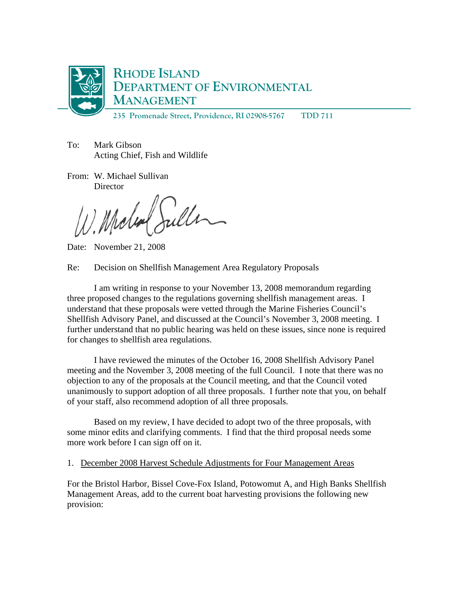

To: Mark Gibson Acting Chief, Fish and Wildlife

From: W. Michael Sullivan **Director** 

Juller Michael

Date: November 21, 2008

Re: Decision on Shellfish Management Area Regulatory Proposals

 I am writing in response to your November 13, 2008 memorandum regarding three proposed changes to the regulations governing shellfish management areas. I understand that these proposals were vetted through the Marine Fisheries Council's Shellfish Advisory Panel, and discussed at the Council's November 3, 2008 meeting. I further understand that no public hearing was held on these issues, since none is required for changes to shellfish area regulations.

 I have reviewed the minutes of the October 16, 2008 Shellfish Advisory Panel meeting and the November 3, 2008 meeting of the full Council. I note that there was no objection to any of the proposals at the Council meeting, and that the Council voted unanimously to support adoption of all three proposals. I further note that you, on behalf of your staff, also recommend adoption of all three proposals.

 Based on my review, I have decided to adopt two of the three proposals, with some minor edits and clarifying comments. I find that the third proposal needs some more work before I can sign off on it.

1. December 2008 Harvest Schedule Adjustments for Four Management Areas

For the Bristol Harbor, Bissel Cove-Fox Island, Potowomut A, and High Banks Shellfish Management Areas, add to the current boat harvesting provisions the following new provision: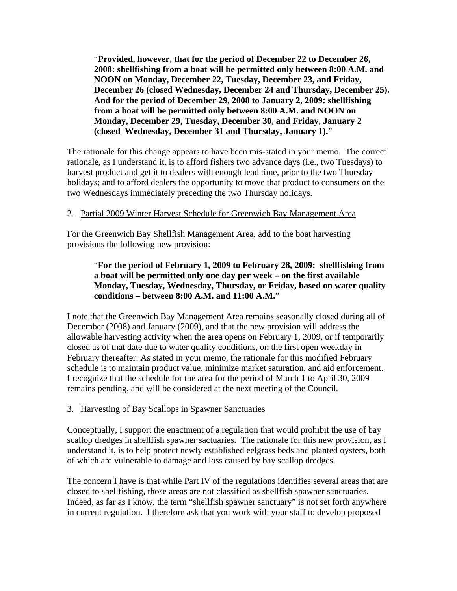"**Provided, however, that for the period of December 22 to December 26, 2008: shellfishing from a boat will be permitted only between 8:00 A.M. and NOON on Monday, December 22, Tuesday, December 23, and Friday, December 26 (closed Wednesday, December 24 and Thursday, December 25). And for the period of December 29, 2008 to January 2, 2009: shellfishing from a boat will be permitted only between 8:00 A.M. and NOON on Monday, December 29, Tuesday, December 30, and Friday, January 2 (closed Wednesday, December 31 and Thursday, January 1).**"

The rationale for this change appears to have been mis-stated in your memo. The correct rationale, as I understand it, is to afford fishers two advance days (i.e., two Tuesdays) to harvest product and get it to dealers with enough lead time, prior to the two Thursday holidays; and to afford dealers the opportunity to move that product to consumers on the two Wednesdays immediately preceding the two Thursday holidays.

## 2. Partial 2009 Winter Harvest Schedule for Greenwich Bay Management Area

For the Greenwich Bay Shellfish Management Area, add to the boat harvesting provisions the following new provision:

## "**For the period of February 1, 2009 to February 28, 2009: shellfishing from a boat will be permitted only one day per week – on the first available Monday, Tuesday, Wednesday, Thursday, or Friday, based on water quality conditions – between 8:00 A.M. and 11:00 A.M.**"

I note that the Greenwich Bay Management Area remains seasonally closed during all of December (2008) and January (2009), and that the new provision will address the allowable harvesting activity when the area opens on February 1, 2009, or if temporarily closed as of that date due to water quality conditions, on the first open weekday in February thereafter. As stated in your memo, the rationale for this modified February schedule is to maintain product value, minimize market saturation, and aid enforcement. I recognize that the schedule for the area for the period of March 1 to April 30, 2009 remains pending, and will be considered at the next meeting of the Council.

## 3. Harvesting of Bay Scallops in Spawner Sanctuaries

Conceptually, I support the enactment of a regulation that would prohibit the use of bay scallop dredges in shellfish spawner sactuaries. The rationale for this new provision, as I understand it, is to help protect newly established eelgrass beds and planted oysters, both of which are vulnerable to damage and loss caused by bay scallop dredges.

The concern I have is that while Part IV of the regulations identifies several areas that are closed to shellfishing, those areas are not classified as shellfish spawner sanctuaries. Indeed, as far as I know, the term "shellfish spawner sanctuary" is not set forth anywhere in current regulation. I therefore ask that you work with your staff to develop proposed